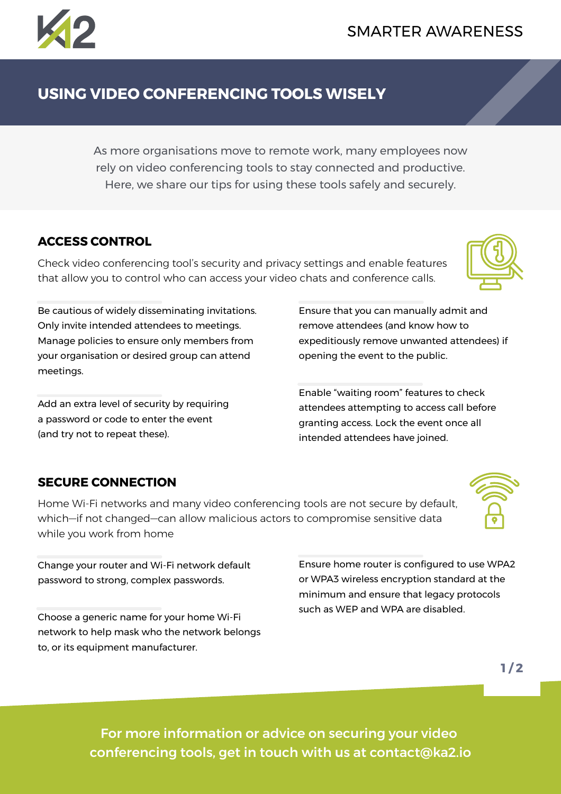# **USING VIDEO CONFERENCING TOOLS WISELY**

As more organisations move to remote work, many employees now rely on video conferencing tools to stay connected and productive. Here, we share our tips for using these tools safely and securely.

### **ACCESS CONTROL**

meetings.

Check video conferencing tool's security and privacy settings and enable features that allow you to control who can access your video chats and conference calls.

> Ensure that you can manually admit and remove attendees (and know how to expeditiously remove unwanted attendees) if opening the event to the public.

Enable "waiting room" features to check attendees attempting to access call before granting access. Lock the event once all intended attendees have joined.

Ensure home router is configured to use WPA2 or WPA3 wireless encryption standard at the minimum and ensure that legacy protocols

such as WEP and WPA are disabled.

### **SECURE CONNECTION**

(and try not to repeat these).

Home Wi-Fi networks and many video conferencing tools are not secure by default, which—if not changed—can allow malicious actors to compromise sensitive data while you work from home

Change your router and Wi-Fi network default password to strong, complex passwords.

Be cautious of widely disseminating invitations. Only invite intended attendees to meetings. Manage policies to ensure only members from your organisation or desired group can attend

Add an extra level of security by requiring a password or code to enter the event

Choose a generic name for your home Wi-Fi network to help mask who the network belongs to, or its equipment manufacturer.

> For more information or advice on securing your video conferencing tools, get in touch with us at contact@ka2.io

 $1/2$